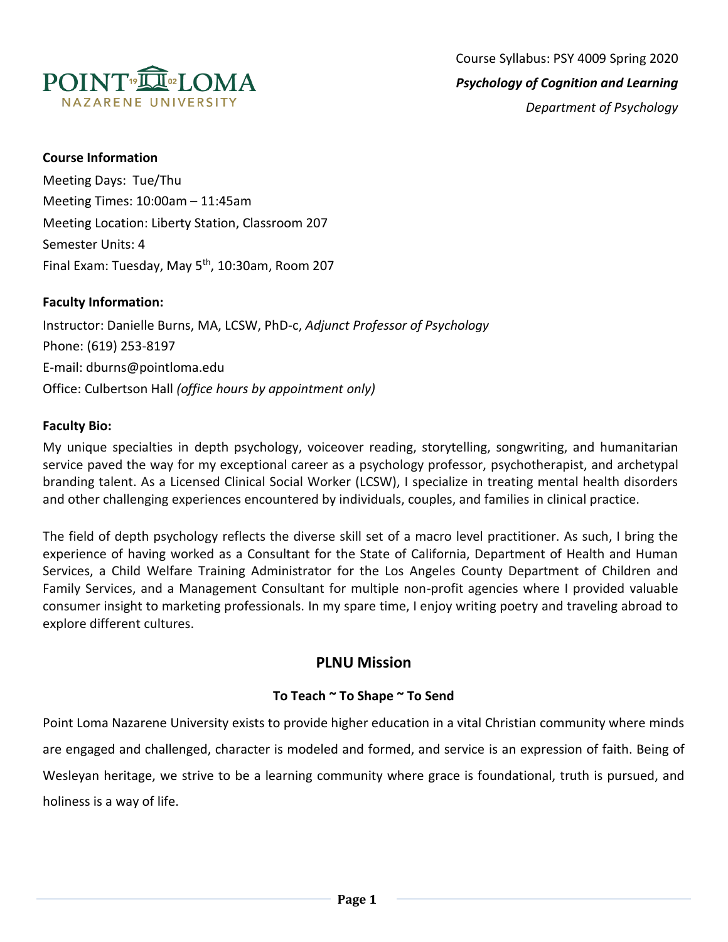

### **Course Information**

Meeting Days: Tue/Thu Meeting Times: 10:00am – 11:45am Meeting Location: Liberty Station, Classroom 207 Semester Units: 4 Final Exam: Tuesday, May  $5<sup>th</sup>$ , 10:30am, Room 207

## **Faculty Information:**

Instructor: Danielle Burns, MA, LCSW, PhD-c, *Adjunct Professor of Psychology* Phone: (619) 253-8197 E-mail: dburns@pointloma.edu Office: Culbertson Hall *(office hours by appointment only)*

## **Faculty Bio:**

My unique specialties in depth psychology, voiceover reading, storytelling, songwriting, and humanitarian service paved the way for my exceptional career as a psychology professor, psychotherapist, and archetypal branding talent. As a Licensed Clinical Social Worker (LCSW), I specialize in treating mental health disorders and other challenging experiences encountered by individuals, couples, and families in clinical practice.

The field of depth psychology reflects the diverse skill set of a macro level practitioner. As such, I bring the experience of having worked as a Consultant for the State of California, Department of Health and Human Services, a Child Welfare Training Administrator for the Los Angeles County Department of Children and Family Services, and a Management Consultant for multiple non-profit agencies where I provided valuable consumer insight to marketing professionals. In my spare time, I enjoy writing poetry and traveling abroad to explore different cultures.

# **PLNU Mission**

## **To Teach ~ To Shape ~ To Send**

Point Loma Nazarene University exists to provide higher education in a vital Christian community where minds are engaged and challenged, character is modeled and formed, and service is an expression of faith. Being of Wesleyan heritage, we strive to be a learning community where grace is foundational, truth is pursued, and holiness is a way of life.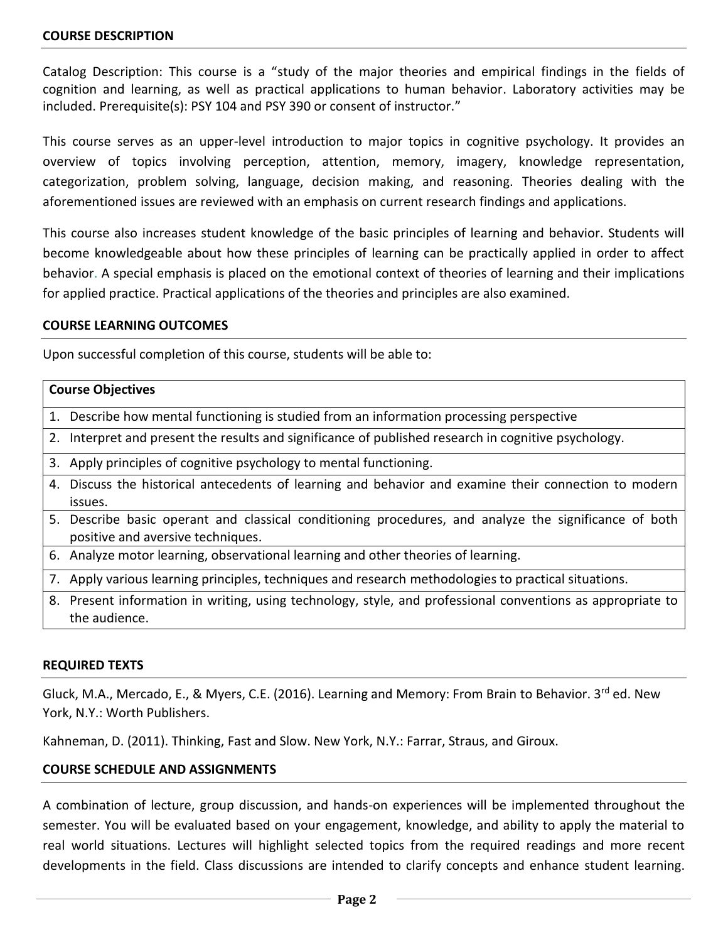Catalog Description: This course is a "study of the major theories and empirical findings in the fields of cognition and learning, as well as practical applications to human behavior. Laboratory activities may be included. Prerequisite(s): PSY 104 and PSY 390 or consent of instructor."

This course serves as an upper-level introduction to major topics in cognitive psychology. It provides an overview of topics involving perception, attention, memory, imagery, knowledge representation, categorization, problem solving, language, decision making, and reasoning. Theories dealing with the aforementioned issues are reviewed with an emphasis on current research findings and applications.

This course also increases student knowledge of the basic principles of learning and behavior. Students will become knowledgeable about how these principles of learning can be practically applied in order to affect behavior. A special emphasis is placed on the emotional context of theories of learning and their implications for applied practice. Practical applications of the theories and principles are also examined.

#### **COURSE LEARNING OUTCOMES**

Upon successful completion of this course, students will be able to:

| <b>Course Objectives</b> |                                                                                                                             |  |  |
|--------------------------|-----------------------------------------------------------------------------------------------------------------------------|--|--|
|                          | 1. Describe how mental functioning is studied from an information processing perspective                                    |  |  |
|                          | 2. Interpret and present the results and significance of published research in cognitive psychology.                        |  |  |
|                          | 3. Apply principles of cognitive psychology to mental functioning.                                                          |  |  |
|                          | 4. Discuss the historical antecedents of learning and behavior and examine their connection to modern                       |  |  |
|                          | issues.                                                                                                                     |  |  |
|                          | 5. Describe basic operant and classical conditioning procedures, and analyze the significance of both                       |  |  |
|                          | positive and aversive techniques.                                                                                           |  |  |
|                          | 6. Analyze motor learning, observational learning and other theories of learning.                                           |  |  |
|                          | 7. Apply various learning principles, techniques and research methodologies to practical situations.                        |  |  |
|                          | 8. Present information in writing, using technology, style, and professional conventions as appropriate to<br>the audience. |  |  |

#### **REQUIRED TEXTS**

Gluck, M.A., Mercado, E., & Myers, C.E. (2016). Learning and Memory: From Brain to Behavior. 3rd ed. New York, N.Y.: Worth Publishers.

Kahneman, D. (2011). Thinking, Fast and Slow. New York, N.Y.: Farrar, Straus, and Giroux.

### **COURSE SCHEDULE AND ASSIGNMENTS**

A combination of lecture, group discussion, and hands-on experiences will be implemented throughout the semester. You will be evaluated based on your engagement, knowledge, and ability to apply the material to real world situations. Lectures will highlight selected topics from the required readings and more recent developments in the field. Class discussions are intended to clarify concepts and enhance student learning.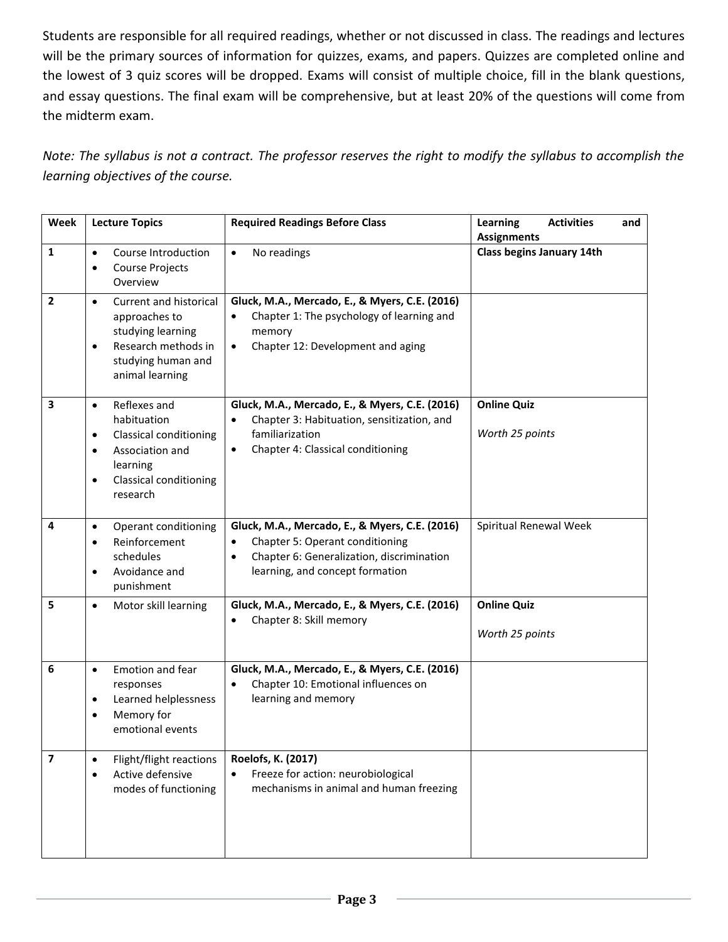Students are responsible for all required readings, whether or not discussed in class. The readings and lectures will be the primary sources of information for quizzes, exams, and papers. Quizzes are completed online and the lowest of 3 quiz scores will be dropped. Exams will consist of multiple choice, fill in the blank questions, and essay questions. The final exam will be comprehensive, but at least 20% of the questions will come from the midterm exam.

*Note: The syllabus is not a contract. The professor reserves the right to modify the syllabus to accomplish the learning objectives of the course.* 

| Week                    | <b>Lecture Topics</b>                                                                                                                                                                        | <b>Required Readings Before Class</b>                                                                                                                                                       | <b>Learning</b><br><b>Activities</b><br>and<br><b>Assignments</b> |
|-------------------------|----------------------------------------------------------------------------------------------------------------------------------------------------------------------------------------------|---------------------------------------------------------------------------------------------------------------------------------------------------------------------------------------------|-------------------------------------------------------------------|
| 1                       | Course Introduction<br>$\bullet$<br><b>Course Projects</b><br>$\bullet$<br>Overview                                                                                                          | No readings<br>$\bullet$                                                                                                                                                                    | Class begins January 14th                                         |
| 2                       | Current and historical<br>$\bullet$<br>approaches to<br>studying learning<br>Research methods in<br>$\bullet$<br>studying human and<br>animal learning                                       | Gluck, M.A., Mercado, E., & Myers, C.E. (2016)<br>Chapter 1: The psychology of learning and<br>$\bullet$<br>memory<br>Chapter 12: Development and aging<br>$\bullet$                        |                                                                   |
| 3                       | Reflexes and<br>$\bullet$<br>habituation<br><b>Classical conditioning</b><br>$\bullet$<br>Association and<br>$\bullet$<br>learning<br><b>Classical conditioning</b><br>$\bullet$<br>research | Gluck, M.A., Mercado, E., & Myers, C.E. (2016)<br>Chapter 3: Habituation, sensitization, and<br>familiarization<br>Chapter 4: Classical conditioning<br>$\bullet$                           | <b>Online Quiz</b><br>Worth 25 points                             |
| 4                       | Operant conditioning<br>$\bullet$<br>Reinforcement<br>$\bullet$<br>schedules<br>Avoidance and<br>$\bullet$<br>punishment                                                                     | Gluck, M.A., Mercado, E., & Myers, C.E. (2016)<br>Chapter 5: Operant conditioning<br>$\bullet$<br>Chapter 6: Generalization, discrimination<br>$\bullet$<br>learning, and concept formation | Spiritual Renewal Week                                            |
| 5                       | Motor skill learning<br>$\bullet$                                                                                                                                                            | Gluck, M.A., Mercado, E., & Myers, C.E. (2016)<br>Chapter 8: Skill memory<br>$\bullet$                                                                                                      | <b>Online Quiz</b><br>Worth 25 points                             |
| 6                       | Emotion and fear<br>$\bullet$<br>responses<br>Learned helplessness<br>$\bullet$<br>Memory for<br>emotional events                                                                            | Gluck, M.A., Mercado, E., & Myers, C.E. (2016)<br>Chapter 10: Emotional influences on<br>$\bullet$<br>learning and memory                                                                   |                                                                   |
| $\overline{\mathbf{z}}$ | Flight/flight reactions<br>$\bullet$<br>Active defensive<br>modes of functioning                                                                                                             | Roelofs, K. (2017)<br>Freeze for action: neurobiological<br>mechanisms in animal and human freezing                                                                                         |                                                                   |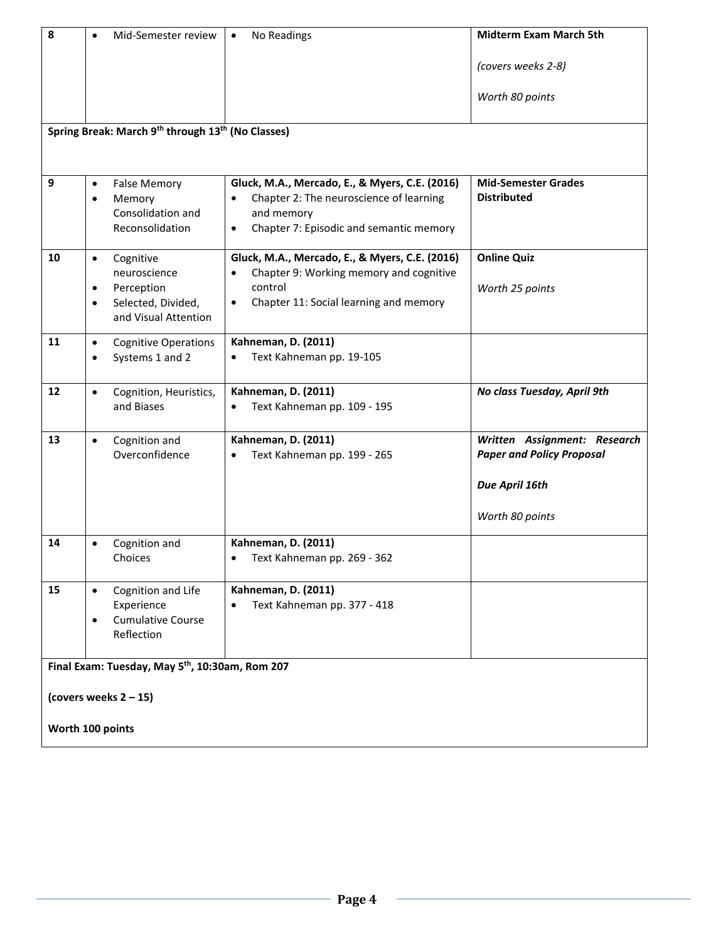| 8                                                                                                           | Mid-Semester review<br>$\bullet$                                                                     | No Readings<br>$\bullet$                                                                                                                                                 | <b>Midterm Exam March 5th</b>                                    |  |
|-------------------------------------------------------------------------------------------------------------|------------------------------------------------------------------------------------------------------|--------------------------------------------------------------------------------------------------------------------------------------------------------------------------|------------------------------------------------------------------|--|
|                                                                                                             |                                                                                                      |                                                                                                                                                                          | (covers weeks 2-8)                                               |  |
|                                                                                                             |                                                                                                      |                                                                                                                                                                          | Worth 80 points                                                  |  |
| Spring Break: March 9 <sup>th</sup> through 13 <sup>th</sup> (No Classes)                                   |                                                                                                      |                                                                                                                                                                          |                                                                  |  |
| 9                                                                                                           | <b>False Memory</b><br>$\bullet$<br>Memory<br>$\bullet$<br>Consolidation and<br>Reconsolidation      | Gluck, M.A., Mercado, E., & Myers, C.E. (2016)<br>Chapter 2: The neuroscience of learning<br>and memory<br>Chapter 7: Episodic and semantic memory<br>$\bullet$          | <b>Mid-Semester Grades</b><br><b>Distributed</b>                 |  |
| 10                                                                                                          | Cognitive<br>$\bullet$<br>neuroscience<br>Perception<br>Selected, Divided,<br>and Visual Attention   | Gluck, M.A., Mercado, E., & Myers, C.E. (2016)<br>Chapter 9: Working memory and cognitive<br>$\bullet$<br>control<br>Chapter 11: Social learning and memory<br>$\bullet$ | <b>Online Quiz</b><br>Worth 25 points                            |  |
| 11                                                                                                          | <b>Cognitive Operations</b><br>$\bullet$<br>Systems 1 and 2<br>$\bullet$                             | <b>Kahneman, D. (2011)</b><br>Text Kahneman pp. 19-105<br>$\bullet$                                                                                                      |                                                                  |  |
| $12 \overline{ }$                                                                                           | Cognition, Heuristics,<br>$\bullet$<br>and Biases                                                    | <b>Kahneman, D. (2011)</b><br>Text Kahneman pp. 109 - 195<br>$\bullet$                                                                                                   | No class Tuesday, April 9th                                      |  |
| 13                                                                                                          | Cognition and<br>$\bullet$<br>Overconfidence                                                         | Kahneman, D. (2011)<br>Text Kahneman pp. 199 - 265                                                                                                                       | Written Assignment: Research<br><b>Paper and Policy Proposal</b> |  |
|                                                                                                             |                                                                                                      |                                                                                                                                                                          | Due April 16th                                                   |  |
|                                                                                                             |                                                                                                      |                                                                                                                                                                          | Worth 80 points                                                  |  |
| 14                                                                                                          | Cognition and<br>Choices                                                                             | <b>Kahneman, D. (2011)</b><br>• Text Kahneman pp. 269 - 362                                                                                                              |                                                                  |  |
| 15                                                                                                          | Cognition and Life<br>$\bullet$<br>Experience<br><b>Cumulative Course</b><br>$\bullet$<br>Reflection | <b>Kahneman, D. (2011)</b><br>Text Kahneman pp. 377 - 418                                                                                                                |                                                                  |  |
| Final Exam: Tuesday, May 5 <sup>th</sup> , 10:30am, Rom 207<br>(covers weeks $2 - 15$ )<br>Worth 100 points |                                                                                                      |                                                                                                                                                                          |                                                                  |  |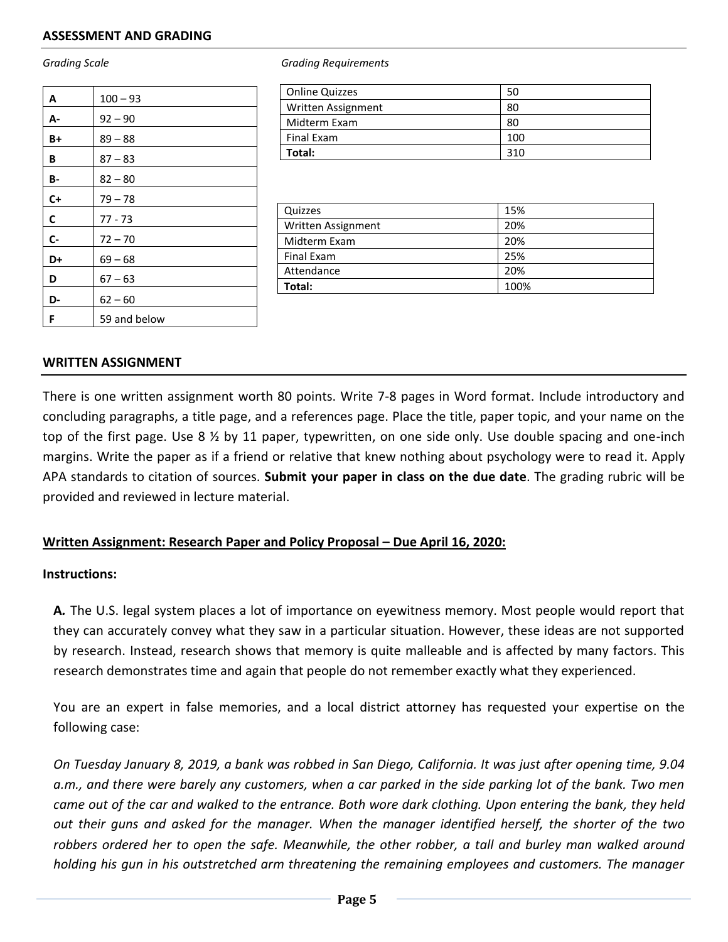#### **ASSESSMENT AND GRADING**

| A     | $100 - 93$   |
|-------|--------------|
| A-    | $92 - 90$    |
| $B+$  | $89 - 88$    |
| В     | $87 - 83$    |
| В-    | $82 - 80$    |
| $C+$  | $79 - 78$    |
| C     | $77 - 73$    |
| $C -$ | $72 - 70$    |
| D+    | $69 - 68$    |
| D     | $67 - 63$    |
| D-    | $62 - 60$    |
| F     | 59 and below |

*Grading Scale Grading Requirements*

| <b>Online Quizzes</b> | 50  |
|-----------------------|-----|
| Written Assignment    | 80  |
| Midterm Exam          | 80  |
| Final Exam            | 100 |
| Total:                | 310 |

| Quizzes            | 15%  |
|--------------------|------|
| Written Assignment | 20%  |
| Midterm Exam       | 20%  |
| Final Exam         | 25%  |
| Attendance         | 20%  |
| Total:             | 100% |

#### **WRITTEN ASSIGNMENT**

There is one written assignment worth 80 points. Write 7-8 pages in Word format. Include introductory and concluding paragraphs, a title page, and a references page. Place the title, paper topic, and your name on the top of the first page. Use 8  $\frac{1}{2}$  by 11 paper, typewritten, on one side only. Use double spacing and one-inch margins. Write the paper as if a friend or relative that knew nothing about psychology were to read it. Apply APA standards to citation of sources. **Submit your paper in class on the due date**. The grading rubric will be provided and reviewed in lecture material.

#### **Written Assignment: Research Paper and Policy Proposal – Due April 16, 2020:**

#### **Instructions:**

**A***.* The U.S. legal system places a lot of importance on eyewitness memory. Most people would report that they can accurately convey what they saw in a particular situation. However, these ideas are not supported by research. Instead, research shows that memory is quite malleable and is affected by many factors. This research demonstrates time and again that people do not remember exactly what they experienced.

You are an expert in false memories, and a local district attorney has requested your expertise on the following case:

*On Tuesday January 8, 2019, a bank was robbed in San Diego, California. It was just after opening time, 9.04 a.m., and there were barely any customers, when a car parked in the side parking lot of the bank. Two men came out of the car and walked to the entrance. Both wore dark clothing. Upon entering the bank, they held out their guns and asked for the manager. When the manager identified herself, the shorter of the two*  robbers ordered her to open the safe. Meanwhile, the other robber, a tall and burley man walked around *holding his gun in his outstretched arm threatening the remaining employees and customers. The manager*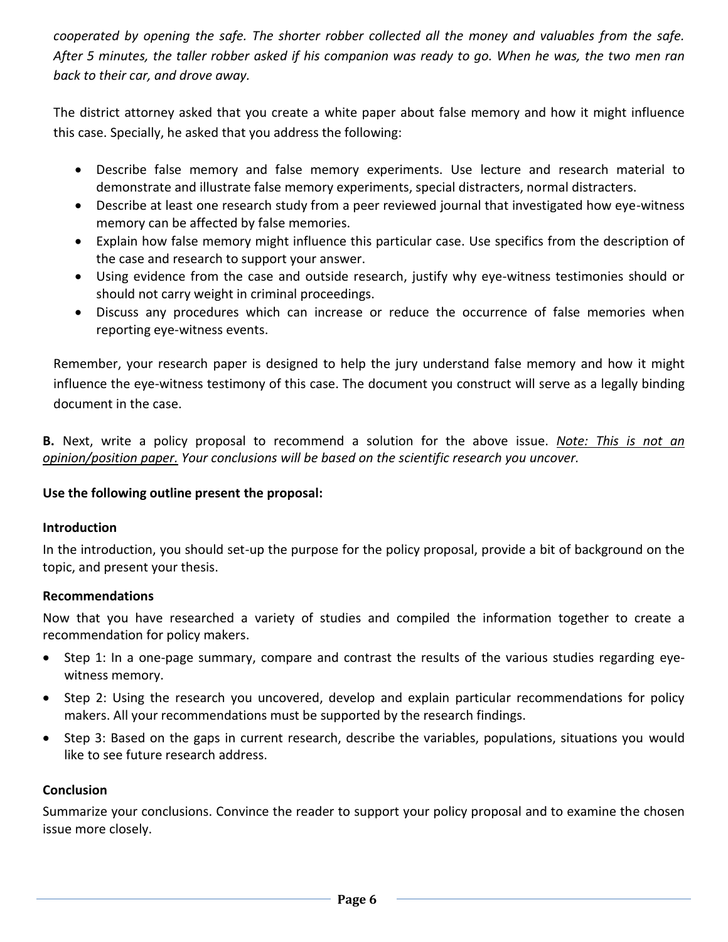*cooperated by opening the safe. The shorter robber collected all the money and valuables from the safe. After 5 minutes, the taller robber asked if his companion was ready to go. When he was, the two men ran back to their car, and drove away.*

The district attorney asked that you create a white paper about false memory and how it might influence this case. Specially, he asked that you address the following:

- Describe false memory and false memory experiments. Use lecture and research material to demonstrate and illustrate false memory experiments, special distracters, normal distracters.
- Describe at least one research study from a peer reviewed journal that investigated how eye-witness memory can be affected by false memories.
- Explain how false memory might influence this particular case. Use specifics from the description of the case and research to support your answer.
- Using evidence from the case and outside research, justify why eye-witness testimonies should or should not carry weight in criminal proceedings.
- Discuss any procedures which can increase or reduce the occurrence of false memories when reporting eye-witness events.

Remember, your research paper is designed to help the jury understand false memory and how it might influence the eye-witness testimony of this case. The document you construct will serve as a legally binding document in the case.

**B.** Next, write a policy proposal to recommend a solution for the above issue. *Note: This is not an opinion/position paper. Your conclusions will be based on the scientific research you uncover.*

## **Use the following outline present the proposal:**

## **Introduction**

In the introduction, you should set-up the purpose for the policy proposal, provide a bit of background on the topic, and present your thesis.

## **Recommendations**

Now that you have researched a variety of studies and compiled the information together to create a recommendation for policy makers.

- Step 1: In a one-page summary, compare and contrast the results of the various studies regarding eyewitness memory.
- Step 2: Using the research you uncovered, develop and explain particular recommendations for policy makers. All your recommendations must be supported by the research findings.
- Step 3: Based on the gaps in current research, describe the variables, populations, situations you would like to see future research address.

## **Conclusion**

Summarize your conclusions. Convince the reader to support your policy proposal and to examine the chosen issue more closely.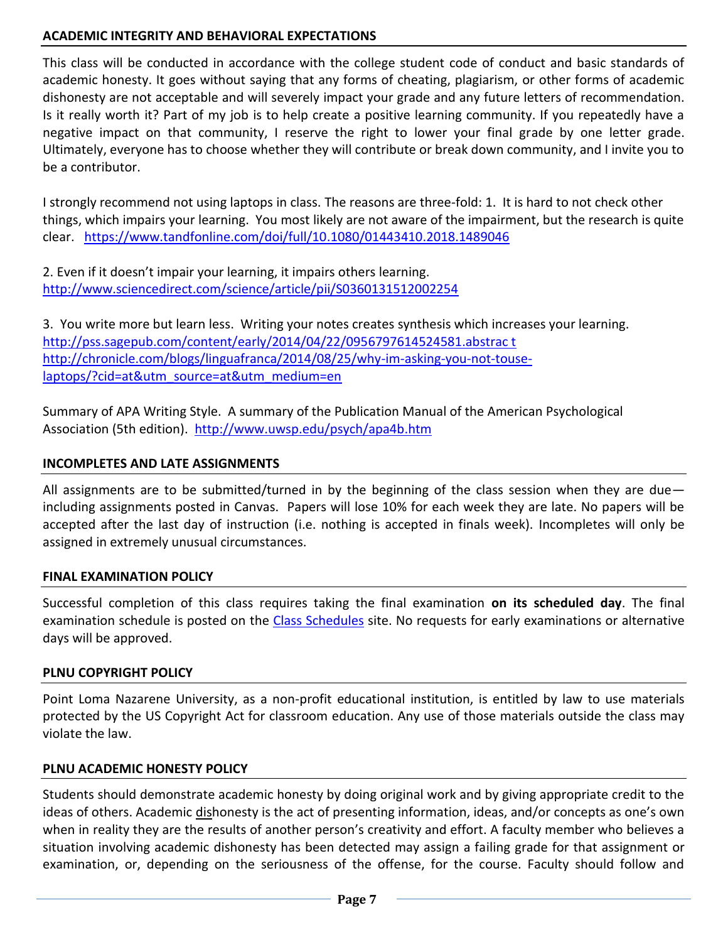## **ACADEMIC INTEGRITY AND BEHAVIORAL EXPECTATIONS**

This class will be conducted in accordance with the college student code of conduct and basic standards of academic honesty. It goes without saying that any forms of cheating, plagiarism, or other forms of academic dishonesty are not acceptable and will severely impact your grade and any future letters of recommendation. Is it really worth it? Part of my job is to help create a positive learning community. If you repeatedly have a negative impact on that community, I reserve the right to lower your final grade by one letter grade. Ultimately, everyone has to choose whether they will contribute or break down community, and I invite you to be a contributor.

I strongly recommend not using laptops in class. The reasons are three-fold: 1. It is hard to not check other things, which impairs your learning. You most likely are not aware of the impairment, but the research is quite clear. <https://www.tandfonline.com/doi/full/10.1080/01443410.2018.1489046>

2. Even if it doesn't impair your learning, it impairs others learning. <http://www.sciencedirect.com/science/article/pii/S0360131512002254>

3. You write more but learn less. Writing your notes creates synthesis which increases your learning. [http://pss.sagepub.com/content/early/2014/04/22/0956797614524581.abstrac t](http://pss.sagepub.com/content/early/2014/04/22/0956797614524581.abstrac%20t) [http://chronicle.com/blogs/linguafranca/2014/08/25/why-im-asking-you-not-touse](http://chronicle.com/blogs/linguafranca/2014/08/25/why-im-asking-you-not-touse-laptops/?cid=at&utm_source=at&utm_medium=en%20)[laptops/?cid=at&utm\\_source=at&utm\\_medium=en](http://chronicle.com/blogs/linguafranca/2014/08/25/why-im-asking-you-not-touse-laptops/?cid=at&utm_source=at&utm_medium=en%20)

Summary of APA Writing Style. A summary of the Publication Manual of the American Psychological Association (5th edition).<http://www.uwsp.edu/psych/apa4b.htm>

## **INCOMPLETES AND LATE ASSIGNMENTS**

All assignments are to be submitted/turned in by the beginning of the class session when they are dueincluding assignments posted in Canvas. Papers will lose 10% for each week they are late. No papers will be accepted after the last day of instruction (i.e. nothing is accepted in finals week). Incompletes will only be assigned in extremely unusual circumstances.

### **FINAL EXAMINATION POLICY**

Successful completion of this class requires taking the final examination **on its scheduled day**. The final examination schedule is posted on the [Class Schedules](http://www.pointloma.edu/experience/academics/class-schedules) site. No requests for early examinations or alternative days will be approved.

### **PLNU COPYRIGHT POLICY**

Point Loma Nazarene University, as a non-profit educational institution, is entitled by law to use materials protected by the US Copyright Act for classroom education. Any use of those materials outside the class may violate the law.

### **PLNU ACADEMIC HONESTY POLICY**

Students should demonstrate academic honesty by doing original work and by giving appropriate credit to the ideas of others. Academic dishonesty is the act of presenting information, ideas, and/or concepts as one's own when in reality they are the results of another person's creativity and effort. A faculty member who believes a situation involving academic dishonesty has been detected may assign a failing grade for that assignment or examination, or, depending on the seriousness of the offense, for the course. Faculty should follow and